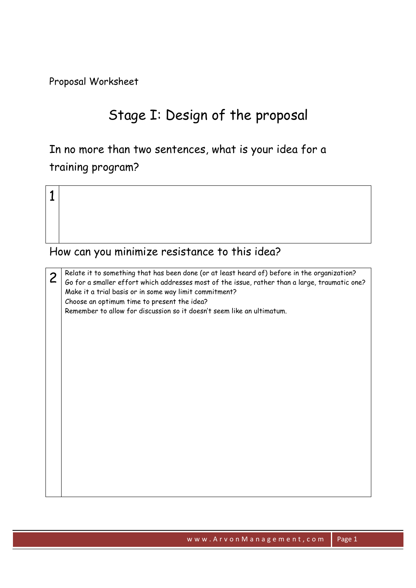Proposal Worksheet

# Stage I: Design of the proposal

In no more than two sentences, what is your idea for a training program?

1

#### How can you minimize resistance to this idea?

 $2 \mid \text{Reduce}$  it to something that has been done (or at least heard of) before in the organization?<br>Go for a smaller effort which addresses most of the issue, rather than a large, traumatic one? Make it a trial basis or in some way limit commitment? Choose an optimum time to present the idea? Remember to allow for discussion so it doesn't seem like an ultimatum.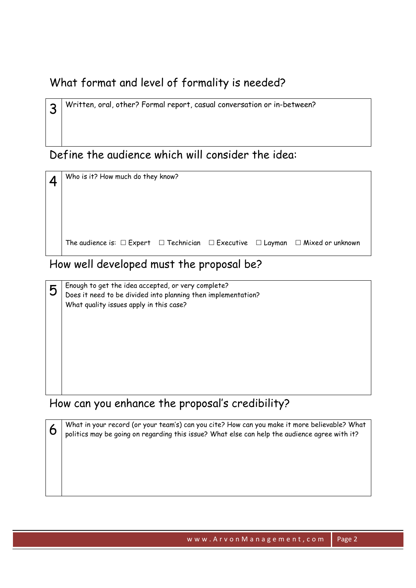### What format and level of formality is needed?

Define the audience which will consider the idea:

3 Written, oral, other? Formal report, casual conversation or in-between?

 $4$  Who is it? How much do they know? The audience is:  $\Box$  Expert  $\Box$  Technician  $\Box$  Executive  $\Box$  Layman  $\Box$  Mixed or unknown

#### How well developed must the proposal be?

 $\overline{5}\,$  Enough to get the idea accepted, or very complete?<br>Dees it need to be divided into planning then implementation? What quality issues apply in this case?

#### How can you enhance the proposal's credibility?

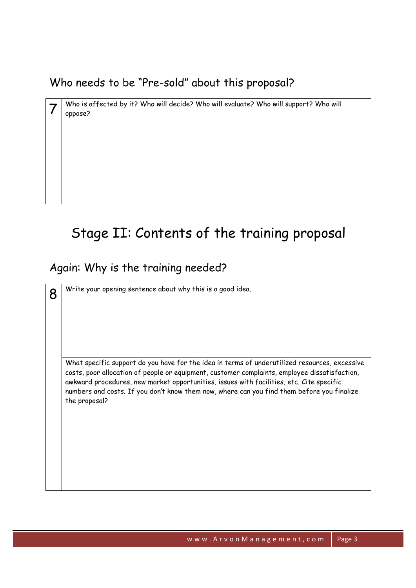Who needs to be "Pre-sold" about this proposal?

 $7$  Who is affected by it? Who will decide? Who will evaluate? Who will support? Who will oppose?

# Stage II: Contents of the training proposal

#### Again: Why is the training needed?

 $8<sup>2</sup>$  Write your opening sentence about why this is a good idea. What specific support do you have for the idea in terms of underutilized resources, excessive costs, poor allocation of people or equipment, customer complaints, employee dissatisfaction, awkward procedures, new market opportunities, issues with facilities, etc. Cite specific numbers and costs. If you don't know them now, where can you find them before you finalize the proposal?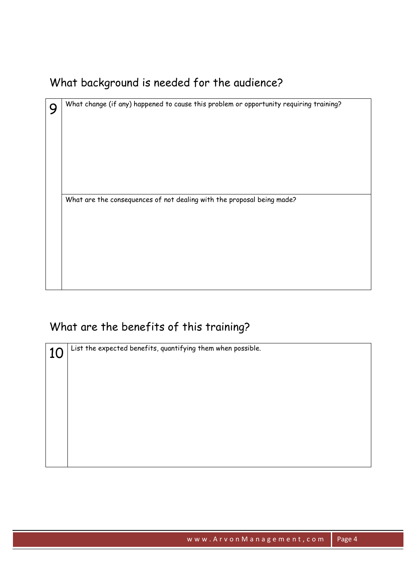## What background is needed for the audience?

| ∩ | What change (if any) happened to cause this problem or opportunity requiring training? |  |  |  |
|---|----------------------------------------------------------------------------------------|--|--|--|
|   |                                                                                        |  |  |  |
|   |                                                                                        |  |  |  |
|   |                                                                                        |  |  |  |
|   |                                                                                        |  |  |  |
|   |                                                                                        |  |  |  |
|   |                                                                                        |  |  |  |
|   | What are the consequences of not dealing with the proposal being made?                 |  |  |  |
|   |                                                                                        |  |  |  |
|   |                                                                                        |  |  |  |
|   |                                                                                        |  |  |  |
|   |                                                                                        |  |  |  |
|   |                                                                                        |  |  |  |
|   |                                                                                        |  |  |  |

### What are the benefits of this training?

10 List the expected benefits, quantifying them when possible.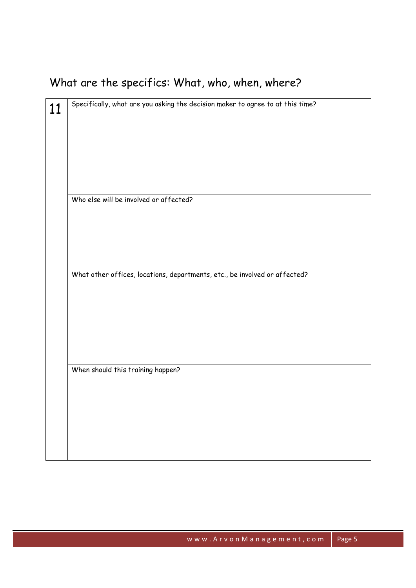# What are the specifics: What, who, when, where?

| Specifically, what are you asking the decision maker to agree to at this time? |  |  |
|--------------------------------------------------------------------------------|--|--|
|                                                                                |  |  |
|                                                                                |  |  |
|                                                                                |  |  |
|                                                                                |  |  |
| Who else will be involved or affected?                                         |  |  |
|                                                                                |  |  |
|                                                                                |  |  |
|                                                                                |  |  |
|                                                                                |  |  |
| What other offices, locations, departments, etc., be involved or affected?     |  |  |
|                                                                                |  |  |
|                                                                                |  |  |
|                                                                                |  |  |
|                                                                                |  |  |
| When should this training happen?                                              |  |  |
|                                                                                |  |  |
|                                                                                |  |  |
|                                                                                |  |  |
|                                                                                |  |  |
|                                                                                |  |  |
|                                                                                |  |  |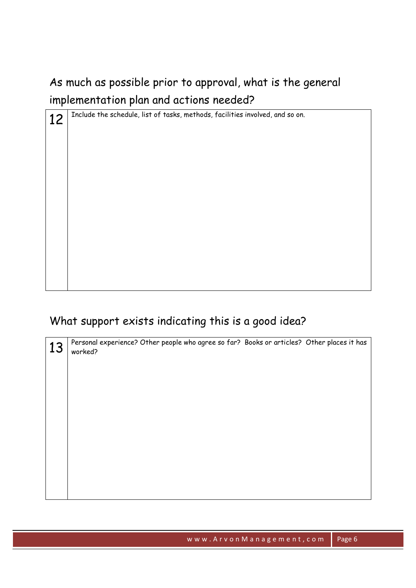## As much as possible prior to approval, what is the general implementation plan and actions needed?

| 12 | Include the schedule, list of tasks, methods, facilities involved, and so on. |  |  |
|----|-------------------------------------------------------------------------------|--|--|
|    |                                                                               |  |  |
|    |                                                                               |  |  |
|    |                                                                               |  |  |
|    |                                                                               |  |  |
|    |                                                                               |  |  |
|    |                                                                               |  |  |
|    |                                                                               |  |  |
|    |                                                                               |  |  |
|    |                                                                               |  |  |
|    |                                                                               |  |  |
|    |                                                                               |  |  |
|    |                                                                               |  |  |
|    |                                                                               |  |  |
|    |                                                                               |  |  |

## What support exists indicating this is a good idea?

| worked? |                                                                                            |
|---------|--------------------------------------------------------------------------------------------|
|         |                                                                                            |
|         |                                                                                            |
|         |                                                                                            |
|         |                                                                                            |
|         |                                                                                            |
|         |                                                                                            |
|         | Personal experience? Other people who agree so far? Books or articles? Other places it has |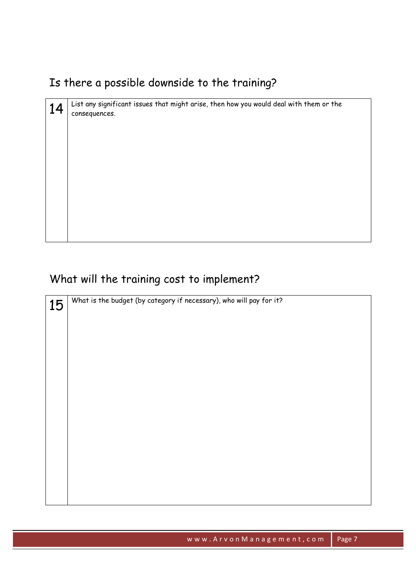## Is there a possible downside to the training?

| 14<br>consequences. | List any significant issues that might arise, then how you would deal with them or the |
|---------------------|----------------------------------------------------------------------------------------|
|                     |                                                                                        |
|                     |                                                                                        |
|                     |                                                                                        |
|                     |                                                                                        |
|                     |                                                                                        |

## What will the training cost to implement?

| 15 | What is the budget (by category if necessary), who will pay for it? |
|----|---------------------------------------------------------------------|
|    |                                                                     |
|    |                                                                     |
|    |                                                                     |
|    |                                                                     |
|    |                                                                     |
|    |                                                                     |
|    |                                                                     |
|    |                                                                     |
|    |                                                                     |
|    |                                                                     |
|    |                                                                     |
|    |                                                                     |
|    |                                                                     |
|    |                                                                     |
|    |                                                                     |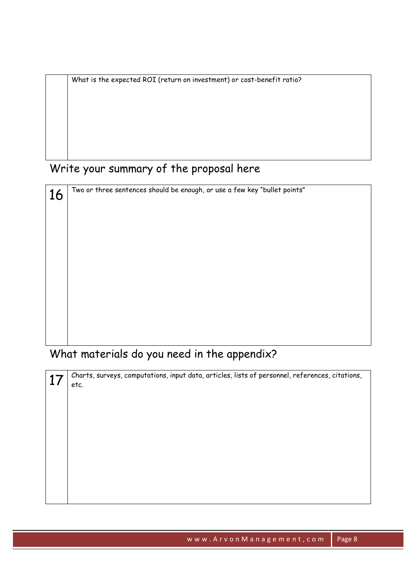What is the expected ROI (return on investment) or cost-benefit ratio?

## Write your summary of the proposal here

| 16 | Two or three sentences should be enough, or use a few key "bullet points" |  |  |
|----|---------------------------------------------------------------------------|--|--|
|    |                                                                           |  |  |
|    |                                                                           |  |  |
|    |                                                                           |  |  |
|    |                                                                           |  |  |
|    |                                                                           |  |  |
|    |                                                                           |  |  |
|    |                                                                           |  |  |
|    |                                                                           |  |  |
|    |                                                                           |  |  |
|    |                                                                           |  |  |
|    |                                                                           |  |  |

What materials do you need in the appendix?

| Charts, surveys, computations, input data, articles, lists of personnel, references, citations,<br>etc. |
|---------------------------------------------------------------------------------------------------------|
|                                                                                                         |
|                                                                                                         |
|                                                                                                         |
|                                                                                                         |
|                                                                                                         |
|                                                                                                         |